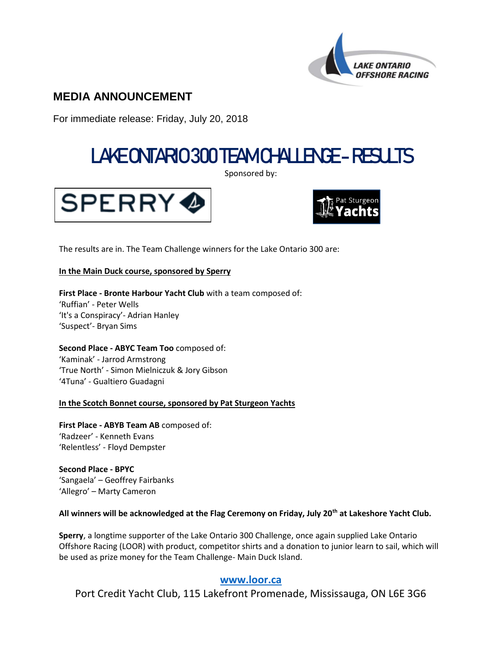

# **MEDIA ANNOUNCEMENT**

For immediate release: Friday, July 20, 2018

# LAKE ONTARIO 300 TEAM CHALLENGE- RESULTS

Sponsored by:





The results are in. The Team Challenge winners for the Lake Ontario 300 are:

#### **In the Main Duck course, sponsored by Sperry**

**First Place - Bronte Harbour Yacht Club** with a team composed of: 'Ruffian' - Peter Wells 'It's a Conspiracy'- Adrian Hanley 'Suspect'- Bryan Sims

**Second Place - ABYC Team Too** composed of: 'Kaminak' - Jarrod Armstrong 'True North' - Simon Mielniczuk & Jory Gibson '4Tuna' - Gualtiero Guadagni

### **In the Scotch Bonnet course, sponsored by Pat Sturgeon Yachts**

**First Place - ABYB Team AB** composed of: 'Radzeer' - Kenneth Evans 'Relentless' - Floyd Dempster

**Second Place - BPYC** 'Sangaela' – Geoffrey Fairbanks 'Allegro' – Marty Cameron

#### **All winners will be acknowledged at the Flag Ceremony on Friday, July 20th at Lakeshore Yacht Club.**

**Sperry**, a longtime supporter of the Lake Ontario 300 Challenge, once again supplied Lake Ontario Offshore Racing (LOOR) with product, competitor shirts and a donation to junior learn to sail, which will be used as prize money for the Team Challenge- Main Duck Island.

## **[www.loor.ca](file:///C:/User/AppData/Local/Microsoft/Windows/Temporary%20Internet%20Files/Content.IE5/LPBV5RDO/www.loor.ca)**

Port Credit Yacht Club, 115 Lakefront Promenade, Mississauga, ON L6E 3G6